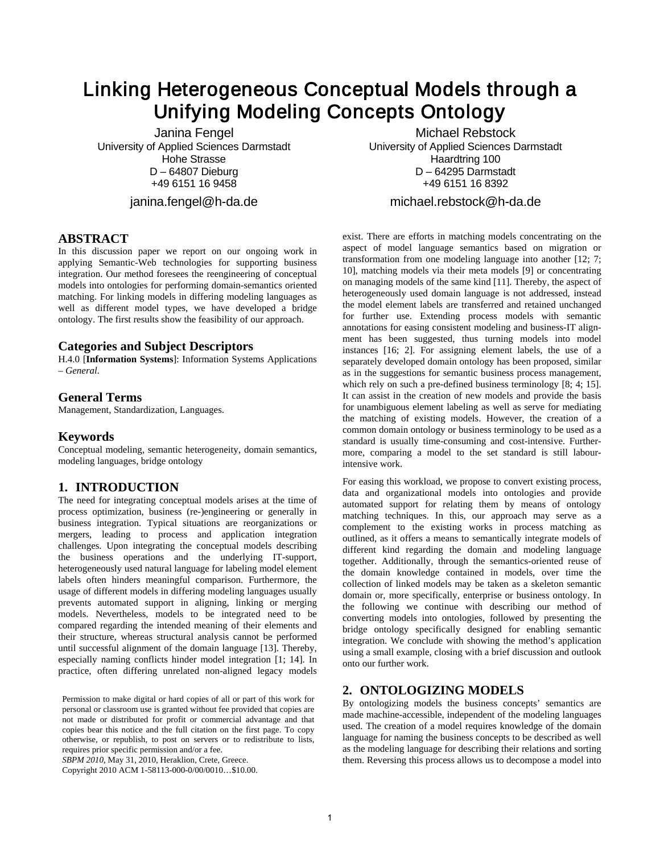# Linking Heterogeneous Conceptual Models through a Unifying Modeling Concepts Ontology

Janina Fengel University of Applied Sciences Darmstadt Hohe Strasse D – 64807 Dieburg +49 6151 16 9458

janina.fengel@h-da.de

# **ABSTRACT**

In this discussion paper we report on our ongoing work in applying Semantic-Web technologies for supporting business integration. Our method foresees the reengineering of conceptual models into ontologies for performing domain-semantics oriented matching. For linking models in differing modeling languages as well as different model types, we have developed a bridge ontology. The first results show the feasibility of our approach.

## **Categories and Subject Descriptors**

H.4.0 [**Information Systems**]: Information Systems Applications – *General.* 

# **General Terms**

Management, Standardization, Languages.

# **Keywords**

Conceptual modeling, semantic heterogeneity, domain semantics, modeling languages, bridge ontology

# **1. INTRODUCTION**

The need for integrating conceptual models arises at the time of process optimization, business (re-)engineering or generally in business integration. Typical situations are reorganizations or mergers, leading to process and application integration challenges. Upon integrating the conceptual models describing the business operations and the underlying IT-support, heterogeneously used natural language for labeling model element labels often hinders meaningful comparison. Furthermore, the usage of different models in differing modeling languages usually prevents automated support in aligning, linking or merging models. Nevertheless, models to be integrated need to be compared regarding the intended meaning of their elements and their structure, whereas structural analysis cannot be performed until successful alignment of the domain language [13]. Thereby, especially naming conflicts hinder model integration [1; 14]. In practice, often differing unrelated non-aligned legacy models

Permission to make digital or hard copies of all or part of this work for personal or classroom use is granted without fee provided that copies are not made or distributed for profit or commercial advantage and that copies bear this notice and the full citation on the first page. To copy otherwise, or republish, to post on servers or to redistribute to lists, requires prior specific permission and/or a fee.

*SBPM 2010*, May 31, 2010, Heraklion, Crete, Greece.

Copyright 2010 ACM 1-58113-000-0/00/0010…\$10.00.

Michael Rebstock University of Applied Sciences Darmstadt Haardtring 100 D – 64295 Darmstadt +49 6151 16 8392

michael.rebstock@h-da.de

exist. There are efforts in matching models concentrating on the aspect of model language semantics based on migration or transformation from one modeling language into another [12; 7; 10], matching models via their meta models [9] or concentrating on managing models of the same kind [11]. Thereby, the aspect of heterogeneously used domain language is not addressed, instead the model element labels are transferred and retained unchanged for further use. Extending process models with semantic annotations for easing consistent modeling and business-IT alignment has been suggested, thus turning models into model instances [16; 2]. For assigning element labels, the use of a separately developed domain ontology has been proposed, similar as in the suggestions for semantic business process management, which rely on such a pre-defined business terminology [8; 4; 15]. It can assist in the creation of new models and provide the basis for unambiguous element labeling as well as serve for mediating the matching of existing models. However, the creation of a common domain ontology or business terminology to be used as a standard is usually time-consuming and cost-intensive. Furthermore, comparing a model to the set standard is still labourintensive work.

For easing this workload, we propose to convert existing process, data and organizational models into ontologies and provide automated support for relating them by means of ontology matching techniques. In this, our approach may serve as a complement to the existing works in process matching as outlined, as it offers a means to semantically integrate models of different kind regarding the domain and modeling language together. Additionally, through the semantics-oriented reuse of the domain knowledge contained in models, over time the collection of linked models may be taken as a skeleton semantic domain or, more specifically, enterprise or business ontology. In the following we continue with describing our method of converting models into ontologies, followed by presenting the bridge ontology specifically designed for enabling semantic integration. We conclude with showing the method's application using a small example, closing with a brief discussion and outlook onto our further work.

# **2. ONTOLOGIZING MODELS**

By ontologizing models the business concepts' semantics are made machine-accessible, independent of the modeling languages used. The creation of a model requires knowledge of the domain language for naming the business concepts to be described as well as the modeling language for describing their relations and sorting them. Reversing this process allows us to decompose a model into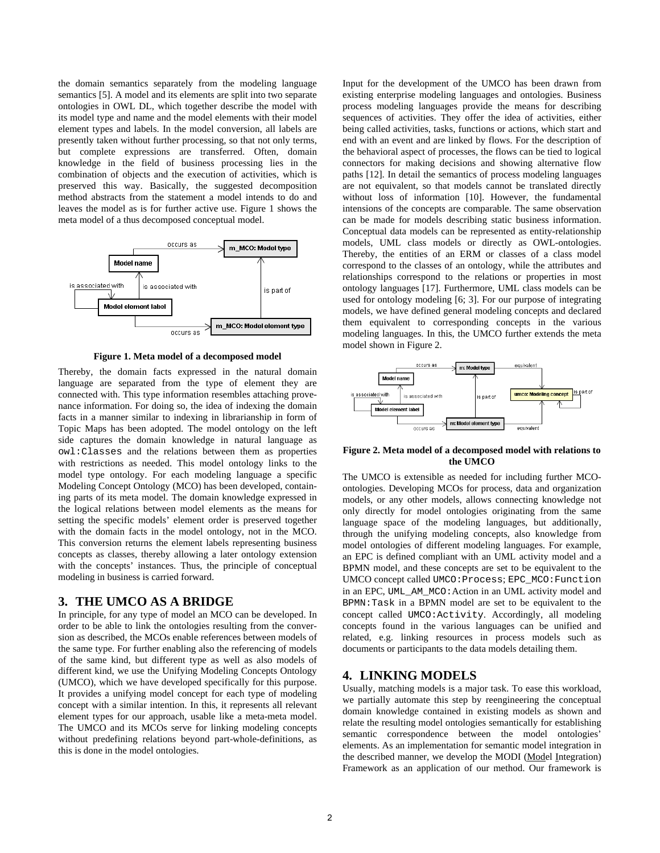the domain semantics separately from the modeling language semantics [5]. A model and its elements are split into two separate ontologies in OWL DL, which together describe the model with its model type and name and the model elements with their model element types and labels. In the model conversion, all labels are presently taken without further processing, so that not only terms, but complete expressions are transferred. Often, domain knowledge in the field of business processing lies in the combination of objects and the execution of activities, which is preserved this way. Basically, the suggested decomposition method abstracts from the statement a model intends to do and leaves the model as is for further active use. Figure 1 shows the meta model of a thus decomposed conceptual model.



**Figure 1. Meta model of a decomposed model**

Thereby, the domain facts expressed in the natural domain language are separated from the type of element they are connected with. This type information resembles attaching provenance information. For doing so, the idea of indexing the domain facts in a manner similar to indexing in librarianship in form of Topic Maps has been adopted. The model ontology on the left side captures the domain knowledge in natural language as owl:Classes and the relations between them as properties with restrictions as needed. This model ontology links to the model type ontology. For each modeling language a specific Modeling Concept Ontology (MCO) has been developed, containing parts of its meta model. The domain knowledge expressed in the logical relations between model elements as the means for setting the specific models' element order is preserved together with the domain facts in the model ontology, not in the MCO. This conversion returns the element labels representing business concepts as classes, thereby allowing a later ontology extension with the concepts' instances. Thus, the principle of conceptual modeling in business is carried forward.

#### **3. THE UMCO AS A BRIDGE**

In principle, for any type of model an MCO can be developed. In order to be able to link the ontologies resulting from the conversion as described, the MCOs enable references between models of the same type. For further enabling also the referencing of models of the same kind, but different type as well as also models of different kind, we use the Unifying Modeling Concepts Ontology (UMCO), which we have developed specifically for this purpose. It provides a unifying model concept for each type of modeling concept with a similar intention. In this, it represents all relevant element types for our approach, usable like a meta-meta model. The UMCO and its MCOs serve for linking modeling concepts without predefining relations beyond part-whole-definitions, as this is done in the model ontologies.

Input for the development of the UMCO has been drawn from existing enterprise modeling languages and ontologies. Business process modeling languages provide the means for describing sequences of activities. They offer the idea of activities, either being called activities, tasks, functions or actions, which start and end with an event and are linked by flows. For the description of the behavioral aspect of processes, the flows can be tied to logical connectors for making decisions and showing alternative flow paths [12]. In detail the semantics of process modeling languages are not equivalent, so that models cannot be translated directly without loss of information [10]. However, the fundamental intensions of the concepts are comparable. The same observation can be made for models describing static business information. Conceptual data models can be represented as entity-relationship models, UML class models or directly as OWL-ontologies. Thereby, the entities of an ERM or classes of a class model correspond to the classes of an ontology, while the attributes and relationships correspond to the relations or properties in most ontology languages [17]. Furthermore, UML class models can be used for ontology modeling [6; 3]. For our purpose of integrating models, we have defined general modeling concepts and declared them equivalent to corresponding concepts in the various modeling languages. In this, the UMCO further extends the meta model shown in Figure 2.



**Figure 2. Meta model of a decomposed model with relations to the UMCO**

The UMCO is extensible as needed for including further MCOontologies. Developing MCOs for process, data and organization models, or any other models, allows connecting knowledge not only directly for model ontologies originating from the same language space of the modeling languages, but additionally, through the unifying modeling concepts, also knowledge from model ontologies of different modeling languages. For example, an EPC is defined compliant with an UML activity model and a BPMN model, and these concepts are set to be equivalent to the UMCO concept called UMCO:Process; EPC\_MCO:Function in an EPC, UML\_AM\_MCO:Action in an UML activity model and BPMN:Task in a BPMN model are set to be equivalent to the concept called UMCO:Activity. Accordingly, all modeling concepts found in the various languages can be unified and related, e.g. linking resources in process models such as documents or participants to the data models detailing them.

## **4. LINKING MODELS**

Usually, matching models is a major task. To ease this workload, we partially automate this step by reengineering the conceptual domain knowledge contained in existing models as shown and relate the resulting model ontologies semantically for establishing semantic correspondence between the model ontologies' elements. As an implementation for semantic model integration in the described manner, we develop the MODI (Model Integration) Framework as an application of our method. Our framework is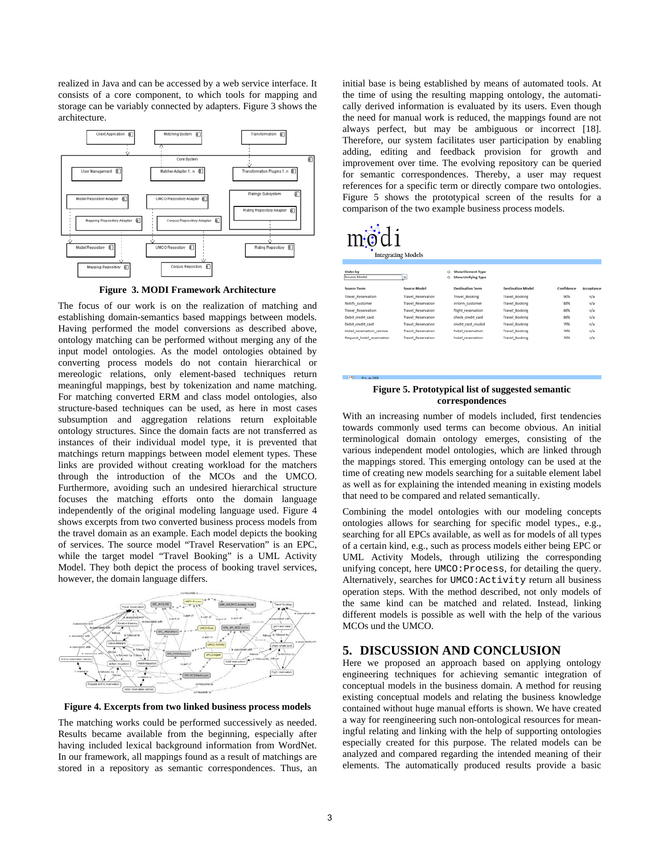realized in Java and can be accessed by a web service interface. It consists of a core component, to which tools for mapping and storage can be variably connected by adapters. Figure 3 shows the architecture.



**Figure 3. MODI Framework Architecture**

The focus of our work is on the realization of matching and establishing domain-semantics based mappings between models. Having performed the model conversions as described above, ontology matching can be performed without merging any of the input model ontologies. As the model ontologies obtained by converting process models do not contain hierarchical or mereologic relations, only element-based techniques return meaningful mappings, best by tokenization and name matching. For matching converted ERM and class model ontologies, also structure-based techniques can be used, as here in most cases subsumption and aggregation relations return exploitable ontology structures. Since the domain facts are not transferred as instances of their individual model type, it is prevented that matchings return mappings between model element types. These links are provided without creating workload for the matchers through the introduction of the MCOs and the UMCO. Furthermore, avoiding such an undesired hierarchical structure focuses the matching efforts onto the domain language independently of the original modeling language used. Figure 4 shows excerpts from two converted business process models from the travel domain as an example. Each model depicts the booking of services. The source model "Travel Reservation" is an EPC, while the target model "Travel Booking" is a UML Activity Model. They both depict the process of booking travel services, however, the domain language differs.



**Figure 4. Excerpts from two linked business process models**

The matching works could be performed successively as needed. Results became available from the beginning, especially after having included lexical background information from WordNet. In our framework, all mappings found as a result of matchings are stored in a repository as semantic correspondences. Thus, an

initial base is being established by means of automated tools. At the time of using the resulting mapping ontology, the automatically derived information is evaluated by its users. Even though the need for manual work is reduced, the mappings found are not always perfect, but may be ambiguous or incorrect [18]. Therefore, our system facilitates user participation by enabling adding, editing and feedback provision for growth and improvement over time. The evolving repository can be queried for semantic correspondences. Thereby, a user may request references for a specific term or directly compare two ontologies. Figure 5 shows the prototypical screen of the results for a comparison of the two example business process models.

# € **Integrating Models**

| Order by<br>Source Model  | ٠                         | o | <b>Show Element Type</b><br><b>Show Unifying Type</b> |                          |            |                   |
|---------------------------|---------------------------|---|-------------------------------------------------------|--------------------------|------------|-------------------|
| <b>Source Term</b>        | <b>Source Model</b>       |   | <b>Destination Term</b>                               | <b>Destination Model</b> | Confidence | <b>Acceptance</b> |
| <b>Travel Reservation</b> | <b>Travel Reservation</b> |   | <b>Travel Booking</b>                                 | <b>Travel Booking</b>    | 90%        | n/a               |
| Notify customer           | <b>Travel Reservation</b> |   | inform customer                                       | <b>Travel Booking</b>    | 88%        | n/a               |
| <b>Travel Reservation</b> | <b>Travel Reservation</b> |   | flight reservation                                    | <b>Travel Booking</b>    | 86%        | n/a               |
| Debit credit card         | <b>Travel Reservation</b> |   | check credit card                                     | <b>Travel Booking</b>    | 86%        | n/a               |
| Debit credit card         | <b>Travel Reservation</b> |   | credit card invalid                                   | <b>Travel Booking</b>    | 79%        | n/a               |
| Hotel reservation service | <b>Travel Reservation</b> |   | hotel reservation                                     | <b>Travel Booking</b>    | 78%        | n/a               |
| Request hotel reservation | <b>Travel Reservation</b> |   | hotel reservation                                     | <b>Travel Booking</b>    | 78%        | n/a               |
|                           |                           |   |                                                       |                          |            |                   |

#### **Figure 5. Prototypical list of suggested semantic correspondences**

With an increasing number of models included, first tendencies towards commonly used terms can become obvious. An initial terminological domain ontology emerges, consisting of the various independent model ontologies, which are linked through the mappings stored. This emerging ontology can be used at the time of creating new models searching for a suitable element label as well as for explaining the intended meaning in existing models that need to be compared and related semantically.

Combining the model ontologies with our modeling concepts ontologies allows for searching for specific model types., e.g., searching for all EPCs available, as well as for models of all types of a certain kind, e.g., such as process models either being EPC or UML Activity Models, through utilizing the corresponding unifying concept, here UMCO:Process, for detailing the query. Alternatively, searches for UMCO:Activity return all business operation steps. With the method described, not only models of the same kind can be matched and related. Instead, linking different models is possible as well with the help of the various MCOs und the UMCO.

# **5. DISCUSSION AND CONCLUSION**

Here we proposed an approach based on applying ontology engineering techniques for achieving semantic integration of conceptual models in the business domain. A method for reusing existing conceptual models and relating the business knowledge contained without huge manual efforts is shown. We have created a way for reengineering such non-ontological resources for meaningful relating and linking with the help of supporting ontologies especially created for this purpose. The related models can be analyzed and compared regarding the intended meaning of their elements. The automatically produced results provide a basic